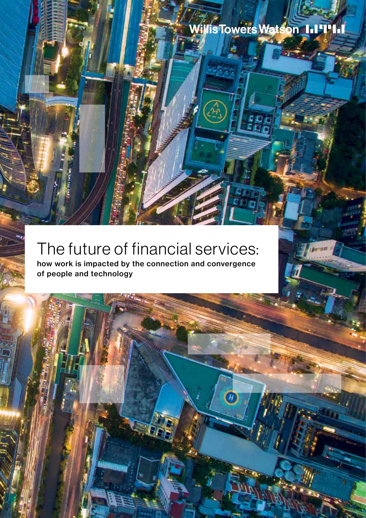$\tau_t$ 

# The future of financial services:

how work is impacted by the connection and convergence of people and technology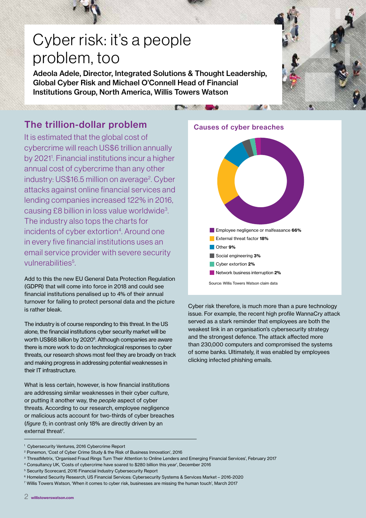# Cyber risk: it's a people problem, too

Adeola Adele, Director, Integrated Solutions & Thought Leadership, Global Cyber Risk and Michael O'Connell Head of Financial Institutions Group, North America, Willis Towers Watson

## The trillion-dollar problem

It is estimated that the global cost of cybercrime will reach US\$6 trillion annually by 2021<sup>1</sup>. Financial institutions incur a higher annual cost of cybercrime than any other industry: US\$16.5 million on average<sup>2</sup>. Cyber attacks against online financial services and lending companies increased 122% in 2016, causing £8 billion in loss value worldwide<sup>3</sup>. The industry also tops the charts for incidents of cyber extortion<sup>4</sup>. Around one in every five financial institutions uses an email service provider with severe security vulnerabilities<sup>5</sup>.

Add to this the new EU General Data Protection Regulation (GDPR) that will come into force in 2018 and could see financial institutions penalised up to 4% of their annual turnover for failing to protect personal data and the picture is rather bleak.

The industry is of course responding to this threat. In the US alone, the financial institutions cyber security market will be worth US\$68 billion by 2020<sup>6</sup>. Although companies are aware there is more work to do on technological responses to cyber threats, our research shows most feel they are broadly on track and making progress in addressing potential weaknesses in their IT infrastructure.

What is less certain, however, is how financial institutions are addressing similar weaknesses in their cyber *culture*, or putting it another way, the *people* aspect of cyber threats. According to our research, employee negligence or malicious acts account for two-thirds of cyber breaches (*figure 1*); in contrast only 18% are directly driven by an external threat<sup>7</sup>.



**All All Co** 



Cyber risk therefore, is much more than a pure technology issue. For example, the recent high profile WannaCry attack served as a stark reminder that employees are both the weakest link in an organisation's cybersecurity strategy and the strongest defence. The attack affected more than 230,000 computers and compromised the systems of some banks. Ultimately, it was enabled by employees clicking infected phishing emails.

- <sup>3</sup> ThreatMetrix, 'Organised Fraud Rings Turn Their Attention to Online Lenders and Emerging Financial Services', February 2017
- <sup>4</sup> Consultancy UK, 'Costs of cybercrime have soared to \$280 billion this year', December 2016

<sup>6</sup> Homeland Security Research, US Financial Services: Cybersecurity Systems & Services Market – 2016-2020

<sup>1</sup> Cybersecurity Ventures, 2016 Cybercrime Report

<sup>2</sup> Ponemon, 'Cost of Cyber Crime Study & the Risk of Business Innovation', 2016

<sup>5</sup> Security Scorecard, 2016 Financial Industry Cybersecurity Report

<sup>7</sup> Willis Towers Watson, 'When it comes to cyber risk, businesses are missing the human touch', March 2017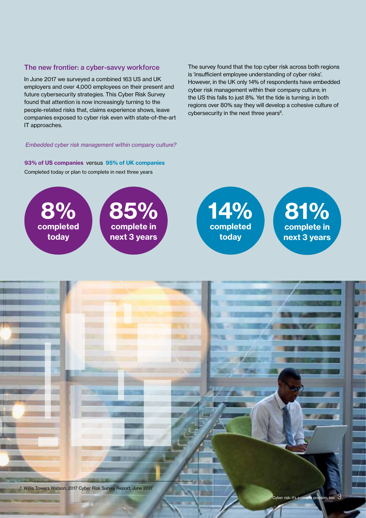### The new frontier: a cyber-savvy workforce

In June 2017 we surveyed a combined 163 US and UK employers and over 4,000 employees on their present and future cybersecurity strategies. This Cyber Risk Survey found that attention is now increasingly turning to the people-related risks that, claims experience shows, leave companies exposed to cyber risk even with state-of-the-art IT approaches.

The survey found that the top cyber risk across both regions is 'insufficient employee understanding of cyber risks'. However, in the UK only 14% of respondents have embedded cyber risk management within their company culture; in the US this falls to just 8%. Yet the tide is turning; in both regions over 80% say they will develop a cohesive culture of cybersecurity in the next three years<sup>8</sup>.

#### *Embedded cyber risk management within company culture?*

Completed today or plan to complete in next three years 93% of US companies versus 95% of UK companies





81% complete in next 3 years

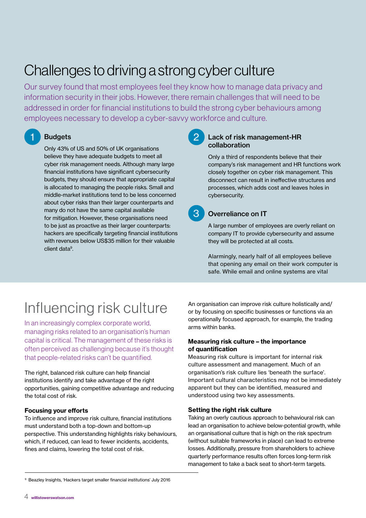# Challenges to driving a strong cyber culture

Our survey found that most employees feel they know how to manage data privacy and information security in their jobs. However, there remain challenges that will need to be addressed in order for financial institutions to build the strong cyber behaviours among employees necessary to develop a cyber-savvy workforce and culture.

## **Budgets**

Only 43% of US and 50% of UK organisations believe they have adequate budgets to meet all cyber risk management needs. Although many large financial institutions have significant cybersecurity budgets, they should ensure that appropriate capital is allocated to managing the people risks. Small and middle-market institutions tend to be less concerned about cyber risks than their larger counterparts and many do not have the same capital available for mitigation. However, these organisations need to be just as proactive as their larger counterparts: hackers are specifically targeting financial institutions with revenues below US\$35 million for their valuable client data9.

### Lack of risk management-HR collaboration

Only a third of respondents believe that their company's risk management and HR functions work closely together on cyber risk management. This disconnect can result in ineffective structures and processes, which adds cost and leaves holes in cybersecurity.

### 3 Overreliance on IT

A large number of employees are overly reliant on company IT to provide cybersecurity and assume they will be protected at all costs.

Alarmingly, nearly half of all employees believe that opening any email on their work computer is safe. While email and online systems are vital

# Influencing risk culture

In an increasingly complex corporate world, managing risks related to an organisation's human capital is critical. The management of these risks is often perceived as challenging because it's thought that people-related risks can't be quantified.

The right, balanced risk culture can help financial institutions identify and take advantage of the right opportunities, gaining competitive advantage and reducing the total cost of risk.

### Focusing your efforts

To influence and improve risk culture, financial institutions must understand both a top-down and bottom-up perspective. This understanding highlights risky behaviours, which, if reduced, can lead to fewer incidents, accidents, fines and claims, lowering the total cost of risk.

An organisation can improve risk culture holistically and/ or by focusing on specific businesses or functions via an operationally focused approach, for example, the trading arms within banks.

### Measuring risk culture – the importance of quantification

Measuring risk culture is important for internal risk culture assessment and management. Much of an organisation's risk culture lies 'beneath the surface'. Important cultural characteristics may not be immediately apparent but they can be identified, measured and understood using two key assessments.

### Setting the right risk culture

Taking an overly cautious approach to behavioural risk can lead an organisation to achieve below-potential growth, while an organisational culture that is high on the risk spectrum (without suitable frameworks in place) can lead to extreme losses. Additionally, pressure from shareholders to achieve quarterly performance results often forces long-term risk management to take a back seat to short-term targets.

<sup>9</sup> Beazley Insights, 'Hackers target smaller financial institutions' July 2016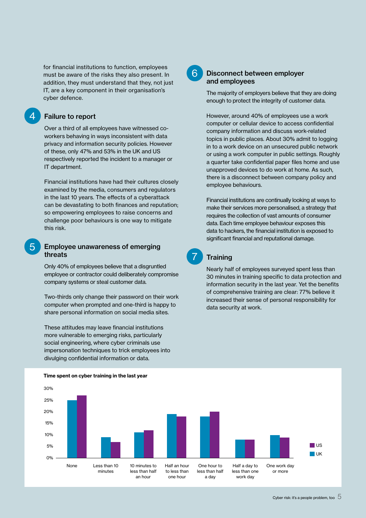for financial institutions to function, employees must be aware of the risks they also present. In addition, they must understand that they, not just IT, are a key component in their organisation's cyber defence.

### Failure to report

Over a third of all employees have witnessed coworkers behaving in ways inconsistent with data privacy and information security policies. However of these, only 47% and 53% in the UK and US respectively reported the incident to a manager or IT department.

Financial institutions have had their cultures closely examined by the media, consumers and regulators in the last 10 years. The effects of a cyberattack can be devastating to both finances and reputation; so empowering employees to raise concerns and challenge poor behaviours is one way to mitigate this risk.

### 5 Employee unawareness of emerging threats

Only 40% of employees believe that a disgruntled employee or contractor could deliberately compromise company systems or steal customer data.

Two-thirds only change their password on their work computer when prompted and one-third is happy to share personal information on social media sites.

These attitudes may leave financial institutions more vulnerable to emerging risks, particularly social engineering, where cyber criminals use impersonation techniques to trick employees into divulging confidential information or data.

### 6 Disconnect between employer and employees

The majority of employers believe that they are doing enough to protect the integrity of customer data.

However, around 40% of employees use a work computer or cellular device to access confidential company information and discuss work-related topics in public places. About 30% admit to logging in to a work device on an unsecured public network or using a work computer in public settings. Roughly a quarter take confidential paper files home and use unapproved devices to do work at home. As such, there is a disconnect between company policy and employee behaviours.

Financial institutions are continually looking at ways to make their services more personalised, a strategy that requires the collection of vast amounts of consumer data. Each time employee behaviour exposes this data to hackers, the financial institution is exposed to significant financial and reputational damage.

**Training** 

Nearly half of employees surveyed spent less than 30 minutes in training specific to data protection and information security in the last year. Yet the benefits of comprehensive training are clear: 77% believe it increased their sense of personal responsibility for data security at work.



#### Time spent on cyber training in the last year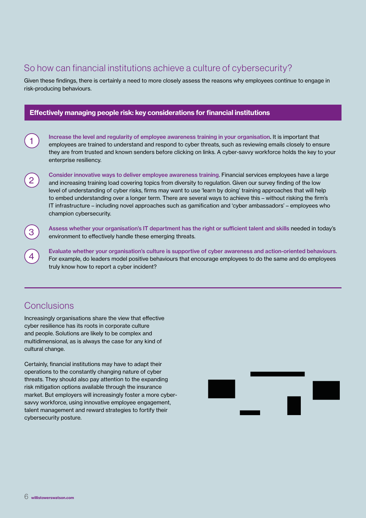## So how can financial institutions achieve a culture of cybersecurity?

Given these findings, there is certainly a need to more closely assess the reasons why employees continue to engage in risk-producing behaviours.

### Effectively managing people risk: key considerations for financial institutions

Increase the level and regularity of employee awareness training in your organisation. It is important that employees are trained to understand and respond to cyber threats, such as reviewing emails closely to ensure they are from trusted and known senders before clicking on links. A cyber-savvy workforce holds the key to your enterprise resiliency.

Consider innovative ways to deliver employee awareness training. Financial services employees have a large and increasing training load covering topics from diversity to regulation. Given our survey finding of the low level of understanding of cyber risks, firms may want to use 'learn by doing' training approaches that will help to embed understanding over a longer term. There are several ways to achieve this – without risking the firm's IT infrastructure – including novel approaches such as gamification and 'cyber ambassadors' – employees who champion cybersecurity.

Assess whether your organisation's IT department has the right or sufficient talent and skills needed in today's environment to effectively handle these emerging threats.

Evaluate whether your organisation's culture is supportive of cyber awareness and action-oriented behaviours. For example, do leaders model positive behaviours that encourage employees to do the same and do employees truly know how to report a cyber incident?

### **Conclusions**

1

2

3

4

Increasingly organisations share the view that effective cyber resilience has its roots in corporate culture and people. Solutions are likely to be complex and multidimensional, as is always the case for any kind of cultural change.

Certainly, financial institutions may have to adapt their operations to the constantly changing nature of cyber threats. They should also pay attention to the expanding risk mitigation options available through the insurance market. But employers will increasingly foster a more cybersavvy workforce, using innovative employee engagement, talent management and reward strategies to fortify their cybersecurity posture.

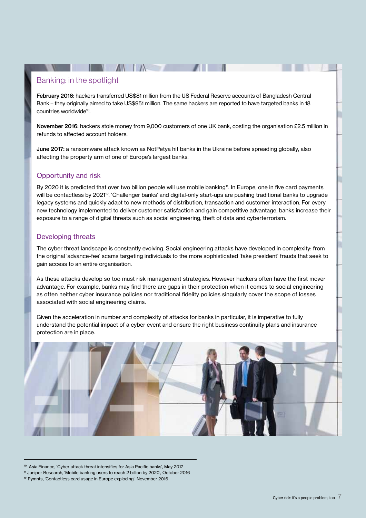### Banking: in the spotlight

February 2016: hackers transferred US\$81 million from the US Federal Reserve accounts of Bangladesh Central Bank – they originally aimed to take US\$951 million. The same hackers are reported to have targeted banks in 18 countries worldwide<sup>10</sup>.

 $\blacksquare$   $\blacksquare$   $\blacksquare$   $\blacksquare$   $\blacksquare$ 

November 2016: hackers stole money from 9,000 customers of one UK bank, costing the organisation £2.5 million in refunds to affected account holders.

June 2017: a ransomware attack known as NotPetya hit banks in the Ukraine before spreading globally, also affecting the property arm of one of Europe's largest banks.

### Opportunity and risk

By 2020 it is predicted that over two billion people will use mobile banking<sup>11</sup>. In Europe, one in five card payments will be contactless by 2021<sup>12</sup>. 'Challenger banks' and digital-only start-ups are pushing traditional banks to upgrade legacy systems and quickly adapt to new methods of distribution, transaction and customer interaction. For every new technology implemented to deliver customer satisfaction and gain competitive advantage, banks increase their exposure to a range of digital threats such as social engineering, theft of data and cyberterrorism.

### Developing threats

The cyber threat landscape is constantly evolving. Social engineering attacks have developed in complexity: from the original 'advance-fee' scams targeting individuals to the more sophisticated 'fake president' frauds that seek to gain access to an entire organisation.

As these attacks develop so too must risk management strategies. However hackers often have the first mover advantage. For example, banks may find there are gaps in their protection when it comes to social engineering as often neither cyber insurance policies nor traditional fidelity policies singularly cover the scope of losses associated with social engineering claims.

Given the acceleration in number and complexity of attacks for banks in particular, it is imperative to fully understand the potential impact of a cyber event and ensure the right business continuity plans and insurance protection are in place.



<sup>10</sup> Asia Finance, 'Cyber attack threat intensifies for Asia Pacific banks', May 2017

<sup>11</sup> Juniper Research, 'Mobile banking users to reach 2 billion by 2020', October 2016

<sup>12</sup> Pymnts, 'Contactless card usage in Europe exploding', November 2016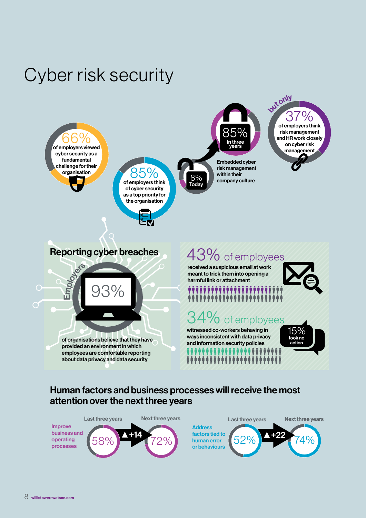# Cyber risk security



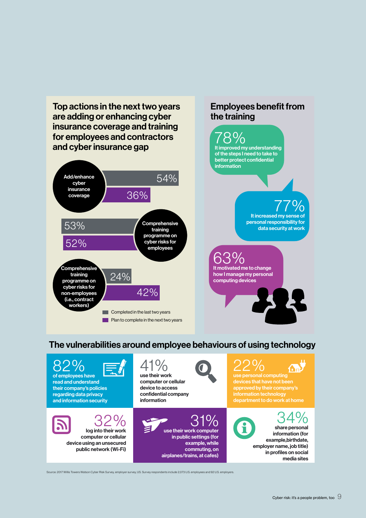Top actions in the next two years are adding or enhancing cyber insurance coverage and training for employees and contractors and cyber insurance gap

#### Add/enhance cyber insurance coverage 54% 36% **Comprehensive** training programme on cyber risks for employees 53% 52% Comprehensive training programme on cyber risks for non-employees (i.e., contract workers) 24% 42% **Completed in the last two years Plan to complete in the next two years**

### Employees benefit from the training



## The vulnerabilities around employee behaviours of using technology



Source: 2017 Willis Towers Watson Cyber Risk Survey, employer survey, US. Survey respondents include 2,073 U.S. employees and 92 U.S. employers.